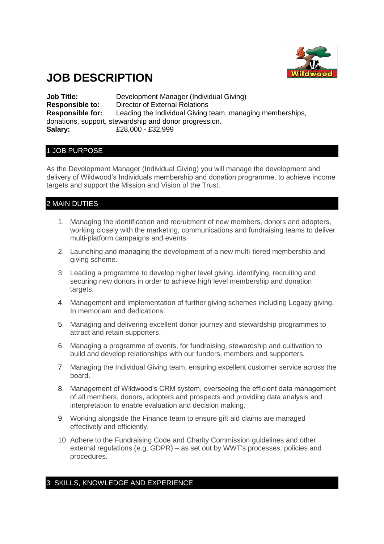

# **JOB DESCRIPTION**

**Job Title:** Development Manager (Individual Giving) **Responsible to:** Director of External Relations **Responsible for:** Leading the Individual Giving team, managing memberships, donations, support, stewardship and donor progression. **Salary:** £28,000 - £32,999

## 1 JOB PURPOSE

As the Development Manager (Individual Giving) you will manage the development and delivery of Wildwood's Individuals membership and donation programme, to achieve income targets and support the Mission and Vision of the Trust.

# 2 MAIN DUTIES

- 1. Managing the identification and recruitment of new members, donors and adopters, working closely with the marketing, communications and fundraising teams to deliver multi-platform campaigns and events.
- 2. Launching and managing the development of a new multi-tiered membership and giving scheme.
- 3. Leading a programme to develop higher level giving, identifying, recruiting and securing new donors in order to achieve high level membership and donation targets.
- 4. Management and implementation of further giving schemes including Legacy giving, In memoriam and dedications.
- 5. Managing and delivering excellent donor journey and stewardship programmes to attract and retain supporters.
- 6. Managing a programme of events, for fundraising, stewardship and cultivation to build and develop relationships with our funders, members and supporters.
- 7. Managing the Individual Giving team, ensuring excellent customer service across the board.
- 8. Management of Wildwood's CRM system, overseeing the efficient data management of all members, donors, adopters and prospects and providing data analysis and interpretation to enable evaluation and decision making.
- 9. Working alongside the Finance team to ensure gift aid claims are managed effectively and efficiently.
- 10. Adhere to the Fundraising Code and Charity Commission guidelines and other external regulations (e.g. GDPR) – as set out by WWT's processes, policies and procedures.

## 3 SKILLS, KNOWLEDGE AND EXPERIENCE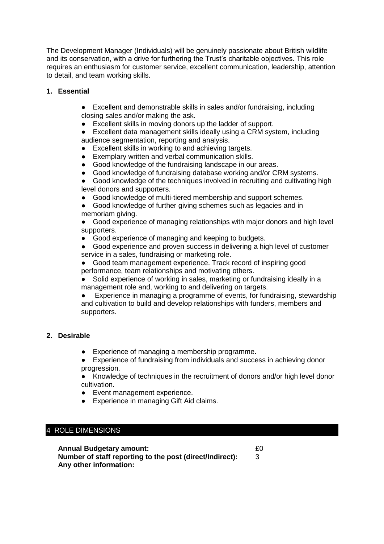The Development Manager (Individuals) will be genuinely passionate about British wildlife and its conservation, with a drive for furthering the Trust's charitable objectives. This role requires an enthusiasm for customer service, excellent communication, leadership, attention to detail, and team working skills.

## **1. Essential**

- Excellent and demonstrable skills in sales and/or fundraising, including closing sales and/or making the ask.
- Excellent skills in moving donors up the ladder of support.

● Excellent data management skills ideally using a CRM system, including audience segmentation, reporting and analysis.

- Excellent skills in working to and achieving targets.
- Exemplary written and verbal communication skills.
- Good knowledge of the fundraising landscape in our areas.
- Good knowledge of fundraising database working and/or CRM systems.

● Good knowledge of the techniques involved in recruiting and cultivating high level donors and supporters.

● Good knowledge of multi-tiered membership and support schemes.

● Good knowledge of further giving schemes such as legacies and in memoriam giving.

● Good experience of managing relationships with major donors and high level supporters.

● Good experience of managing and keeping to budgets.

● Good experience and proven success in delivering a high level of customer service in a sales, fundraising or marketing role.

● Good team management experience. Track record of inspiring good performance, team relationships and motivating others.

Solid experience of working in sales, marketing or fundraising ideally in a management role and, working to and delivering on targets.

● Experience in managing a programme of events, for fundraising, stewardship and cultivation to build and develop relationships with funders, members and supporters.

#### **2. Desirable**

● Experience of managing a membership programme.

● Experience of fundraising from individuals and success in achieving donor progression.

● Knowledge of techniques in the recruitment of donors and/or high level donor cultivation.

- Event management experience.
- Experience in managing Gift Aid claims.

## 4 ROLE DIMENSIONS

| <b>Annual Budgetary amount:</b><br>Number of staff reporting to the post (direct/Indirect):<br>Any other information: | £0 |
|-----------------------------------------------------------------------------------------------------------------------|----|
|-----------------------------------------------------------------------------------------------------------------------|----|